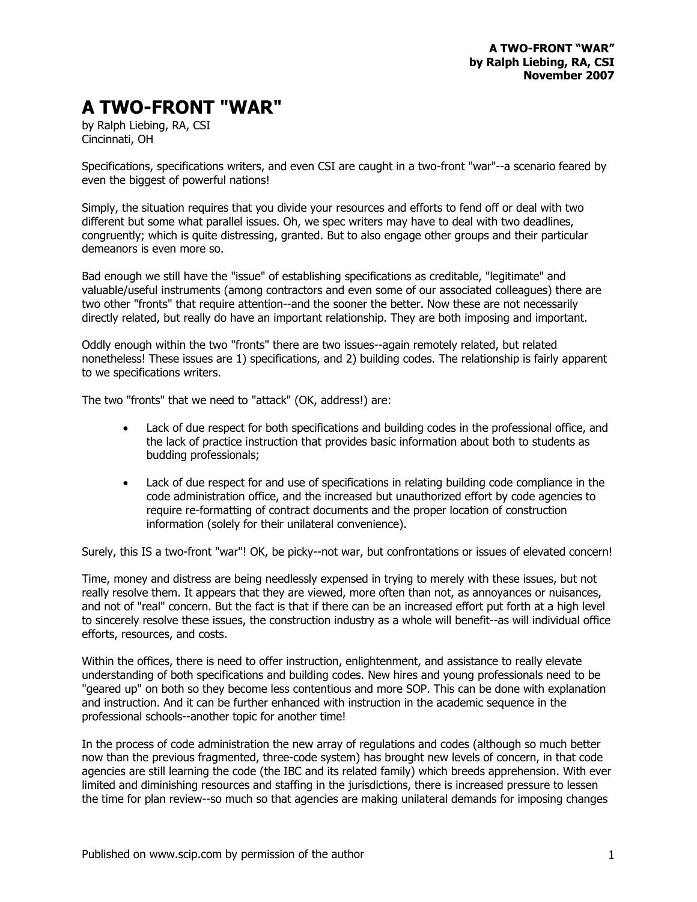## **A TWO-FRONT "WAR"**

by Ralph Liebing, RA, CSI Cincinnati, OH

Specifications, specifications writers, and even CSI are caught in a two-front "war"--a scenario feared by even the biggest of powerful nations!

Simply, the situation requires that you divide your resources and efforts to fend off or deal with two different but some what parallel issues. Oh, we spec writers may have to deal with two deadlines, congruently; which is quite distressing, granted. But to also engage other groups and their particular demeanors is even more so.

Bad enough we still have the "issue" of establishing specifications as creditable, "legitimate" and valuable/useful instruments (among contractors and even some of our associated colleagues) there are two other "fronts" that require attention--and the sooner the better. Now these are not necessarily directly related, but really do have an important relationship. They are both imposing and important.

Oddly enough within the two "fronts" there are two issues--again remotely related, but related nonetheless! These issues are 1) specifications, and 2) building codes. The relationship is fairly apparent to we specifications writers.

The two "fronts" that we need to "attack" (OK, address!) are:

- Lack of due respect for both specifications and building codes in the professional office, and the lack of practice instruction that provides basic information about both to students as budding professionals;
- Lack of due respect for and use of specifications in relating building code compliance in the code administration office, and the increased but unauthorized effort by code agencies to require re-formatting of contract documents and the proper location of construction information (solely for their unilateral convenience).

Surely, this IS a two-front "war"! OK, be picky--not war, but confrontations or issues of elevated concern!

Time, money and distress are being needlessly expensed in trying to merely with these issues, but not really resolve them. It appears that they are viewed, more often than not, as annoyances or nuisances, and not of "real" concern. But the fact is that if there can be an increased effort put forth at a high level to sincerely resolve these issues, the construction industry as a whole will benefit--as will individual office efforts, resources, and costs.

Within the offices, there is need to offer instruction, enlightenment, and assistance to really elevate understanding of both specifications and building codes. New hires and young professionals need to be "geared up" on both so they become less contentious and more SOP. This can be done with explanation and instruction. And it can be further enhanced with instruction in the academic sequence in the professional schools--another topic for another time!

In the process of code administration the new array of regulations and codes (although so much better now than the previous fragmented, three-code system) has brought new levels of concern, in that code agencies are still learning the code (the IBC and its related family) which breeds apprehension. With ever limited and diminishing resources and staffing in the jurisdictions, there is increased pressure to lessen the time for plan review--so much so that agencies are making unilateral demands for imposing changes